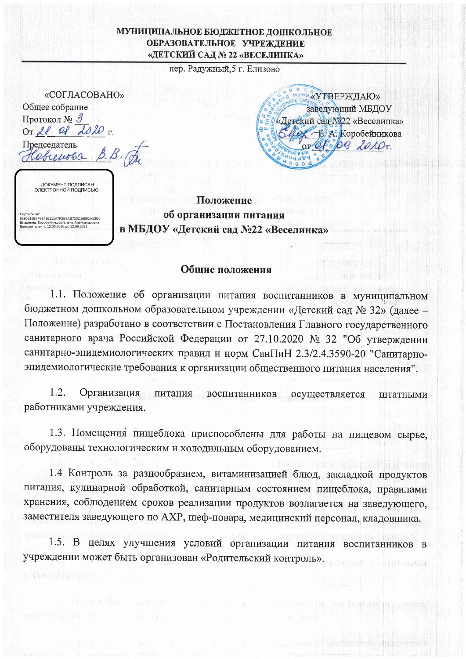## МУНИЦИПАЛЬНОЕ БЮДЖЕТНОЕ ДОШКОЛЬНОЕ ОБРАЗОВАТЕЛЬНОЕ УЧРЕЖДЕНИЕ «ДЕТСКИЙ САД № 22 «ВЕСЕЛИНКА»

пер. Радужный, 5 г. Елизово

| «СОГЛАСОВАНО»                                           |
|---------------------------------------------------------|
| Общее собрание                                          |
| Протокол № 3<br>OT 28 of 2020 $r$ .                     |
| Председатель<br>brenoba.                                |
| ДОКУМЕНТ ПОДПИСАН<br>ЭЛЕКТРОННОЙ ПОДПИСЬЮ               |
| Сертификат:<br>6580216E7E71416111A7E2B9AB725C16501A13C0 |

с 12.05.2020 до 12.08.202



**ALEXANDER** 

· BM 2007年6月1日中国法院以及转向

Положение об организации питания в МБДОУ «Детский сад №22 «Веселинка»

## Общие положения

1.1. Положение об организации питания воспитанников в муниципальном бюджетном дошкольном образовательном учреждении «Детский сад № 32» (далее -Положение) разработано в соответствии с Постановления Главного государственного санитарного врача Российской Федерации от 27.10.2020 № 32 "Об утверждении санитарно-эпидемиологических правил и норм СанПиН 2.3/2.4.3590-20 "Санитарноэпидемиологические требования к организации общественного питания населения".

 $1.2.$ Организация питания воспитанников осуществляется штатными работниками учреждения.

1.3. Помещения пищеблока приспособлены для работы на пищевом сырье, оборудованы технологическим и холодильным оборудованием.

1.4 Контроль за разнообразием, витаминизацией блюд, закладкой продуктов питания, кулинарной обработкой, санитарным состоянием пищеблока, правилами хранения, соблюдением сроков реализации продуктов возлагается на заведующего, заместителя заведующего по АХР, шеф-повара, медицинский персонал, кладовщика.

1.5. В целях улучшения условий организации питания воспитанников в учреждении может быть организован «Родительский контроль».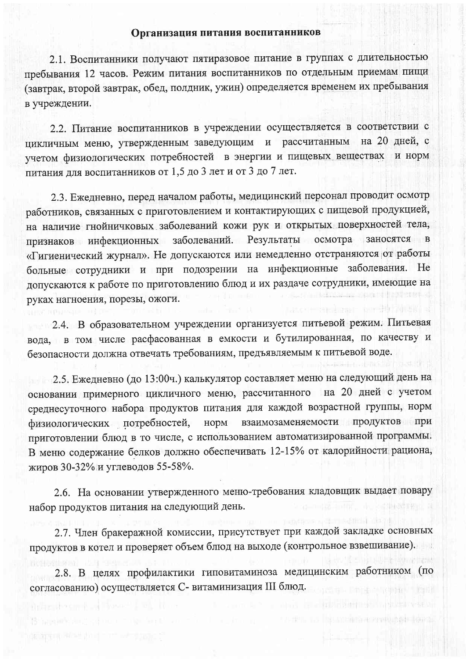## Организация питания воспитанников

2.1. Воспитанники получают пятиразовое питание в группах с длительностью пребывания 12 часов. Режим питания воспитанников по отдельным приемам пищи (завтрак, второй завтрак, обед, полдник, ужин) определяется временем их пребывания в учреждении.

2.2. Питание воспитанников в учреждении осуществляется в соответствии с рассчитанным на 20 дней, с цикличным меню, утвержденным заведующим  $\mathbf{N}$ учетом физиологических потребностей в энергии и пищевых веществах и норм питания для воспитанников от 1,5 до 3 лет и от 3 до 7 лет.

2.3. Ежедневно, перед началом работы, медицинский персонал проводит осмотр работников, связанных с приготовлением и контактирующих с пищевой продукцией, на наличие гнойничковых заболеваний кожи рук и открытых поверхностей тела, признаков инфекционных заболеваний. Результаты осмотра заносятся в «Гигиенический журнал». Не допускаются или немедленно отстраняются от работы больные сотрудники и при подозрении на инфекционные заболевания. Не допускаются к работе по приготовлению блюд и их раздаче сотрудники, имеющие на руках нагноения, порезы, ожоги.

2.4. В образовательном учреждении организуется питьевой режим. Питьевая вода, в том числе расфасованная в емкости и бутилированная, по качеству и безопасности должна отвечать требованиям, предъявляемым к питьевой воде.

2.5. Ежедневно (до 13:00ч.) калькулятор составляет меню на следующий день на основании примерного цикличного меню, рассчитанного на 20 дней с учетом среднесуточного набора продуктов питания для каждой возрастной группы, норм взаимозаменяемости продуктов при физиологических потребностей, норм приготовлении блюд в то числе, с использованием автоматизированной программы. В меню содержание белков должно обеспечивать 12-15% от калорийности рациона, жиров 30-32% и углеводов 55-58%.

2.6. На основании утвержденного меню-требования кладовщик выдает повару набор продуктов питания на следующий день.

2.7. Член бракеражной комиссии, присутствует при каждой закладке основных продуктов в котел и проверяет объем блюд на выходе (контрольное взвешивание).

2.8. В целях профилактики гиповитаминоза медицинским работником (по согласованию) осуществляется С- витаминизация III блюд.

**THE SET OF PERMIT AND IN THE SET OF A SET OF A SET OF A SET OF A SET OF A SET OF A SET OF A SET OF A SET OF A**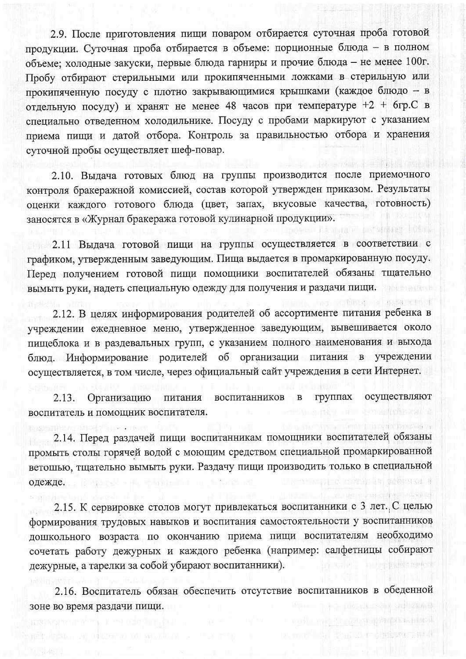2.9. После приготовления пищи поваром отбирается суточная проба готовой продукции. Суточная проба отбирается в объеме: порционные блюда - в полном объеме; холодные закуски, первые блюда гарниры и прочие блюда - не менее 100г. Пробу отбирают стерильными или прокипяченными ложками в стерильную или прокипяченную посуду с плотно закрывающимися крышками (каждое блюдо - в отдельную посуду) и хранят не менее 48 часов при температуре +2 + 6гр.С в специально отведенном холодильнике. Посуду с пробами маркируют с указанием приема пищи и датой отбора. Контроль за правильностью отбора и хранения суточной пробы осуществляет шеф-повар.

2.10. Выдача готовых блюд на группы производится после приемочного контроля бракеражной комиссией, состав которой утвержден приказом. Результаты оценки каждого готового блюда (цвет, запах, вкусовые качества, готовность) заносятся в «Журнал бракеража готовой кулинарной продукции».

trialle just series it there

· (1) 2 值 10 00 0 0 0 0 0 0 0 0 0 0 0 0 0 the requirement in the control of

2.11 Выдача готовой пищи на группы осуществляется в соответствии с графиком, утвержденным заведующим. Пища выдается в промаркированную посуду. Перед получением готовой пищи помощники воспитателей обязаны тщательно вымыть руки, надеть специальную одежду для получения и раздачи пищи. **Choice in Green L** 

2.12. В целях информирования родителей об ассортименте питания ребенка в учреждении ежедневное меню, утвержденное заведующим, вывешивается около пищеблока и в раздевальных групп, с указанием полного наименования и выхода блюд. Информирование родителей об организации питания в учреждении осуществляется, в том числе, через официальный сайт учреждения в сети Интернет.

воспитанников в группах осуществляют  $2.13.$ Организацию питания воспитатель и помощник воспитателя.

2.14. Перед раздачей пищи воспитанникам помощники воспитателей обязаны промыть столы горячей водой с моющим средством специальной промаркированной ветошью, тщательно вымыть руки. Раздачу пищи производить только в специальной 11 HN 92959431 H одежде. В таких по таких по таких по таких по таких по таких по таких по таких по таких по таких по

2.15. К сервировке столов могут привлекаться воспитанники с 3 лет. С целью формирования трудовых навыков и воспитания самостоятельности у воспитанников дошкольного возраста по окончанию приема пищи воспитателям необходимо сочетать работу дежурных и каждого ребенка (например: салфетницы собирают callet in the main groot дежурные, а тарелки за собой убирают воспитанники).

2.16. Воспитатель обязан обеспечить отсутствие воспитанников в обеденной THE FILL FRIDAY STORES CHECK зоне во время раздачи пищи.